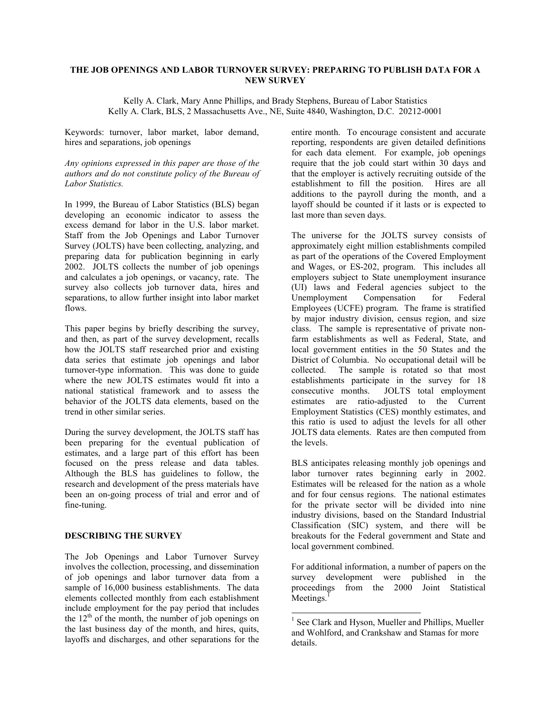# **THE JOB OPENINGS AND LABOR TURNOVER SURVEY: PREPARING TO PUBLISH DATA FOR A NEW SURVEY**

Kelly A. Clark, Mary Anne Phillips, and Brady Stephens, Bureau of Labor Statistics Kelly A. Clark, BLS, 2 Massachusetts Ave., NE, Suite 4840, Washington, D.C. 20212-0001

Keywords: turnover, labor market, labor demand, hires and separations, job openings

*Any opinions expressed in this paper are those of the authors and do not constitute policy of the Bureau of Labor Statistics.* 

In 1999, the Bureau of Labor Statistics (BLS) began developing an economic indicator to assess the excess demand for labor in the U.S. labor market. Staff from the Job Openings and Labor Turnover Survey (JOLTS) have been collecting, analyzing, and preparing data for publication beginning in early 2002. JOLTS collects the number of job openings and calculates a job openings, or vacancy, rate. The survey also collects job turnover data, hires and separations, to allow further insight into labor market flows.

This paper begins by briefly describing the survey, and then, as part of the survey development, recalls how the JOLTS staff researched prior and existing data series that estimate job openings and labor turnover-type information. This was done to guide where the new JOLTS estimates would fit into a national statistical framework and to assess the behavior of the JOLTS data elements, based on the trend in other similar series.

During the survey development, the JOLTS staff has been preparing for the eventual publication of estimates, and a large part of this effort has been focused on the press release and data tables. Although the BLS has guidelines to follow, the research and development of the press materials have been an on-going process of trial and error and of fine-tuning.

#### **DESCRIBING THE SURVEY**

The Job Openings and Labor Turnover Survey involves the collection, processing, and dissemination of job openings and labor turnover data from a sample of 16,000 business establishments. The data elements collected monthly from each establishment include employment for the pay period that includes the  $12<sup>th</sup>$  of the month, the number of job openings on the last business day of the month, and hires, quits, layoffs and discharges, and other separations for the

entire month. To encourage consistent and accurate reporting, respondents are given detailed definitions for each data element. For example, job openings require that the job could start within 30 days and that the employer is actively recruiting outside of the establishment to fill the position. Hires are all additions to the payroll during the month, and a layoff should be counted if it lasts or is expected to last more than seven days.

The universe for the JOLTS survey consists of approximately eight million establishments compiled as part of the operations of the Covered Employment and Wages, or ES-202, program. This includes all employers subject to State unemployment insurance (UI) laws and Federal agencies subject to the Unemployment Compensation for Federal Employees (UCFE) program. The frame is stratified by major industry division, census region, and size class. The sample is representative of private nonfarm establishments as well as Federal, State, and local government entities in the 50 States and the District of Columbia. No occupational detail will be collected. The sample is rotated so that most establishments participate in the survey for 18 consecutive months. JOLTS total employment estimates are ratio-adjusted to the Current Employment Statistics (CES) monthly estimates, and this ratio is used to adjust the levels for all other JOLTS data elements. Rates are then computed from the levels.

BLS anticipates releasing monthly job openings and labor turnover rates beginning early in 2002. Estimates will be released for the nation as a whole and for four census regions. The national estimates for the private sector will be divided into nine industry divisions, based on the Standard Industrial Classification (SIC) system, and there will be breakouts for the Federal government and State and local government combined.

For additional information, a number of papers on the survey development were published in the proceedings from the 2000 Joint Statistical Meetings. $<sup>1</sup>$ </sup>

1

<sup>&</sup>lt;sup>1</sup> See Clark and Hyson, Mueller and Phillips, Mueller and Wohlford, and Crankshaw and Stamas for more details.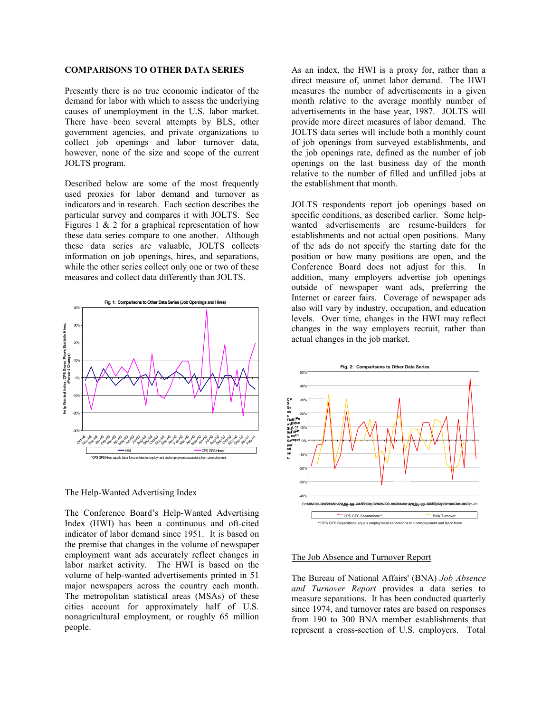#### **COMPARISONS TO OTHER DATA SERIES**

Presently there is no true economic indicator of the demand for labor with which to assess the underlying causes of unemployment in the U.S. labor market. There have been several attempts by BLS, other government agencies, and private organizations to collect job openings and labor turnover data, however, none of the size and scope of the current JOLTS program.

Described below are some of the most frequently used proxies for labor demand and turnover as indicators and in research. Each section describes the particular survey and compares it with JOLTS. See Figures 1  $\&$  2 for a graphical representation of how these data series compare to one another. Although these data series are valuable, JOLTS collects information on job openings, hires, and separations, while the other series collect only one or two of these measures and collect data differently than JOLTS.



#### The Help-Wanted Advertising Index

The Conference Board's Help-Wanted Advertising Index (HWI) has been a continuous and oft-cited indicator of labor demand since 1951. It is based on the premise that changes in the volume of newspaper employment want ads accurately reflect changes in labor market activity. The HWI is based on the volume of help-wanted advertisements printed in 51 major newspapers across the country each month. The metropolitan statistical areas (MSAs) of these cities account for approximately half of U.S. nonagricultural employment, or roughly 65 million people.

As an index, the HWI is a proxy for, rather than a direct measure of, unmet labor demand. The HWI measures the number of advertisements in a given month relative to the average monthly number of advertisements in the base year, 1987. JOLTS will provide more direct measures of labor demand. The JOLTS data series will include both a monthly count of job openings from surveyed establishments, and the job openings rate, defined as the number of job openings on the last business day of the month relative to the number of filled and unfilled jobs at the establishment that month.

JOLTS respondents report job openings based on specific conditions, as described earlier. Some helpwanted advertisements are resume-builders for establishments and not actual open positions. Many of the ads do not specify the starting date for the position or how many positions are open, and the Conference Board does not adjust for this. In addition, many employers advertise job openings outside of newspaper want ads, preferring the Internet or career fairs. Coverage of newspaper ads also will vary by industry, occupation, and education levels. Over time, changes in the HWI may reflect changes in the way employers recruit, rather than actual changes in the job market.



#### The Job Absence and Turnover Report

The Bureau of National Affairs' (BNA) *Job Absence and Turnover Report* provides a data series to measure separations. It has been conducted quarterly since 1974, and turnover rates are based on responses from 190 to 300 BNA member establishments that represent a cross-section of U.S. employers. Total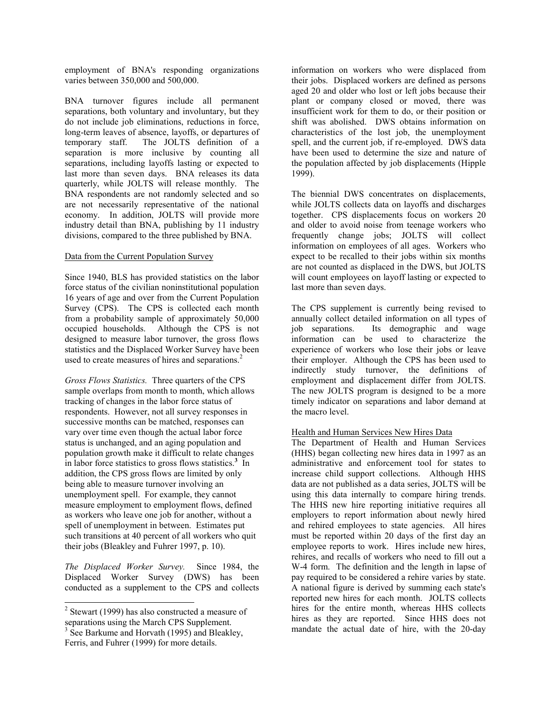employment of BNA's responding organizations varies between 350,000 and 500,000.

BNA turnover figures include all permanent separations, both voluntary and involuntary, but they do not include job eliminations, reductions in force, long-term leaves of absence, layoffs, or departures of temporary staff. The JOLTS definition of a separation is more inclusive by counting all separations, including layoffs lasting or expected to last more than seven days. BNA releases its data quarterly, while JOLTS will release monthly. The BNA respondents are not randomly selected and so are not necessarily representative of the national economy. In addition, JOLTS will provide more industry detail than BNA, publishing by 11 industry divisions, compared to the three published by BNA.

## Data from the Current Population Survey

Since 1940, BLS has provided statistics on the labor force status of the civilian noninstitutional population 16 years of age and over from the Current Population Survey (CPS). The CPS is collected each month from a probability sample of approximately 50,000 occupied households. Although the CPS is not designed to measure labor turnover, the gross flows statistics and the Displaced Worker Survey have been used to create measures of hires and separations.<sup>2</sup>

*Gross Flows Statistics.* Three quarters of the CPS sample overlaps from month to month, which allows tracking of changes in the labor force status of respondents. However, not all survey responses in successive months can be matched, responses can vary over time even though the actual labor force status is unchanged, and an aging population and population growth make it difficult to relate changes in labor force statistics to gross flows statistics.**<sup>3</sup>** In addition, the CPS gross flows are limited by only being able to measure turnover involving an unemployment spell. For example, they cannot measure employment to employment flows, defined as workers who leave one job for another, without a spell of unemployment in between. Estimates put such transitions at 40 percent of all workers who quit their jobs (Bleakley and Fuhrer 1997, p. 10).

*The Displaced Worker Survey.*Since 1984, the Displaced Worker Survey (DWS) has been conducted as a supplement to the CPS and collects

 $\overline{a}$ 

information on workers who were displaced from their jobs. Displaced workers are defined as persons aged 20 and older who lost or left jobs because their plant or company closed or moved, there was insufficient work for them to do, or their position or shift was abolished. DWS obtains information on characteristics of the lost job, the unemployment spell, and the current job, if re-employed. DWS data have been used to determine the size and nature of the population affected by job displacements (Hipple 1999).

The biennial DWS concentrates on displacements, while JOLTS collects data on layoffs and discharges together. CPS displacements focus on workers 20 and older to avoid noise from teenage workers who frequently change jobs; JOLTS will collect information on employees of all ages. Workers who expect to be recalled to their jobs within six months are not counted as displaced in the DWS, but JOLTS will count employees on layoff lasting or expected to last more than seven days.

The CPS supplement is currently being revised to annually collect detailed information on all types of job separations. Its demographic and wage information can be used to characterize the experience of workers who lose their jobs or leave their employer. Although the CPS has been used to indirectly study turnover, the definitions of employment and displacement differ from JOLTS. The new JOLTS program is designed to be a more timely indicator on separations and labor demand at the macro level.

# Health and Human Services New Hires Data

The Department of Health and Human Services (HHS) began collecting new hires data in 1997 as an administrative and enforcement tool for states to increase child support collections. Although HHS data are not published as a data series, JOLTS will be using this data internally to compare hiring trends. The HHS new hire reporting initiative requires all employers to report information about newly hired and rehired employees to state agencies. All hires must be reported within 20 days of the first day an employee reports to work. Hires include new hires, rehires, and recalls of workers who need to fill out a W-4 form. The definition and the length in lapse of pay required to be considered a rehire varies by state. A national figure is derived by summing each state's reported new hires for each month. JOLTS collects hires for the entire month, whereas HHS collects hires as they are reported. Since HHS does not mandate the actual date of hire, with the 20-day

 $2$  Stewart (1999) has also constructed a measure of

separations using the March CPS Supplement.<br><sup>3</sup> See Barkume and Horvath (1995) and Bleakley, Ferris, and Fuhrer (1999) for more details.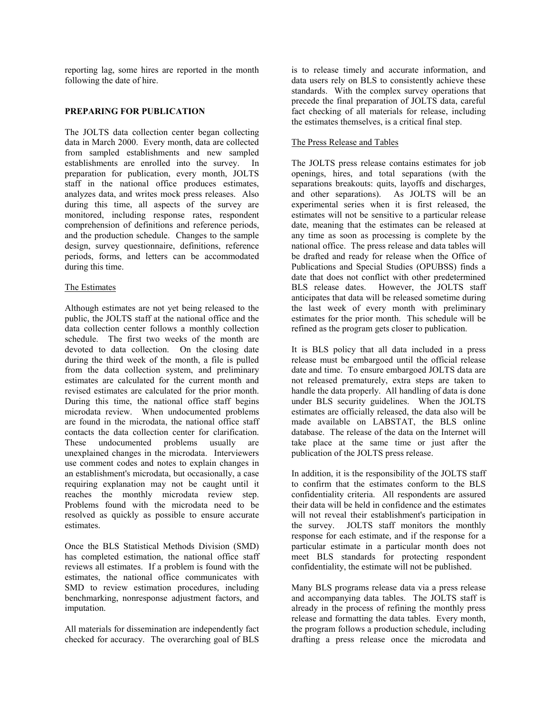reporting lag, some hires are reported in the month following the date of hire.

## **PREPARING FOR PUBLICATION**

The JOLTS data collection center began collecting data in March 2000. Every month, data are collected from sampled establishments and new sampled establishments are enrolled into the survey. In preparation for publication, every month, JOLTS staff in the national office produces estimates, analyzes data, and writes mock press releases. Also during this time, all aspects of the survey are monitored, including response rates, respondent comprehension of definitions and reference periods, and the production schedule. Changes to the sample design, survey questionnaire, definitions, reference periods, forms, and letters can be accommodated during this time.

## The Estimates

Although estimates are not yet being released to the public, the JOLTS staff at the national office and the data collection center follows a monthly collection schedule. The first two weeks of the month are devoted to data collection. On the closing date during the third week of the month, a file is pulled from the data collection system, and preliminary estimates are calculated for the current month and revised estimates are calculated for the prior month. During this time, the national office staff begins microdata review. When undocumented problems are found in the microdata, the national office staff contacts the data collection center for clarification. These undocumented problems usually are unexplained changes in the microdata. Interviewers use comment codes and notes to explain changes in an establishment's microdata, but occasionally, a case requiring explanation may not be caught until it reaches the monthly microdata review step. Problems found with the microdata need to be resolved as quickly as possible to ensure accurate estimates.

Once the BLS Statistical Methods Division (SMD) has completed estimation, the national office staff reviews all estimates. If a problem is found with the estimates, the national office communicates with SMD to review estimation procedures, including benchmarking, nonresponse adjustment factors, and imputation.

All materials for dissemination are independently fact checked for accuracy. The overarching goal of BLS is to release timely and accurate information, and data users rely on BLS to consistently achieve these standards. With the complex survey operations that precede the final preparation of JOLTS data, careful fact checking of all materials for release, including the estimates themselves, is a critical final step.

## The Press Release and Tables

The JOLTS press release contains estimates for job openings, hires, and total separations (with the separations breakouts: quits, layoffs and discharges, and other separations). As JOLTS will be an experimental series when it is first released, the estimates will not be sensitive to a particular release date, meaning that the estimates can be released at any time as soon as processing is complete by the national office. The press release and data tables will be drafted and ready for release when the Office of Publications and Special Studies (OPUBSS) finds a date that does not conflict with other predetermined BLS release dates. However, the JOLTS staff anticipates that data will be released sometime during the last week of every month with preliminary estimates for the prior month. This schedule will be refined as the program gets closer to publication.

It is BLS policy that all data included in a press release must be embargoed until the official release date and time. To ensure embargoed JOLTS data are not released prematurely, extra steps are taken to handle the data properly. All handling of data is done under BLS security guidelines. When the JOLTS estimates are officially released, the data also will be made available on LABSTAT, the BLS online database. The release of the data on the Internet will take place at the same time or just after the publication of the JOLTS press release.

In addition, it is the responsibility of the JOLTS staff to confirm that the estimates conform to the BLS confidentiality criteria. All respondents are assured their data will be held in confidence and the estimates will not reveal their establishment's participation in the survey. JOLTS staff monitors the monthly response for each estimate, and if the response for a particular estimate in a particular month does not meet BLS standards for protecting respondent confidentiality, the estimate will not be published.

Many BLS programs release data via a press release and accompanying data tables. The JOLTS staff is already in the process of refining the monthly press release and formatting the data tables. Every month, the program follows a production schedule, including drafting a press release once the microdata and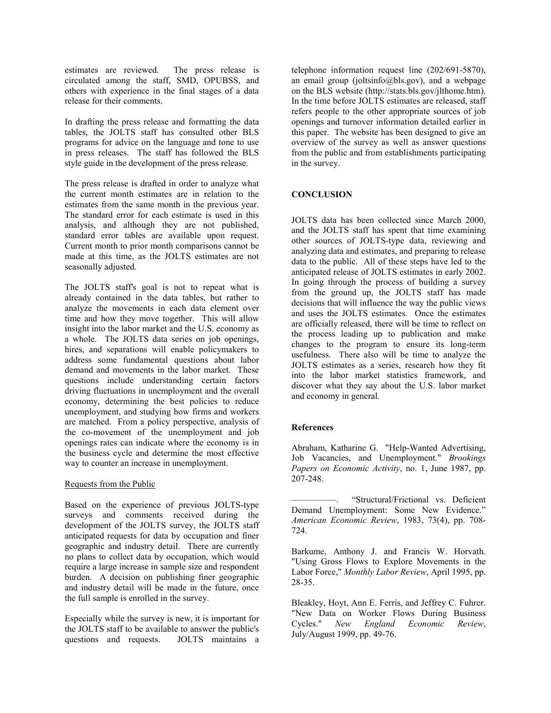estimates are reviewed. The press release is circulated among the staff, SMD, OPUBSS, and others with experience in the final stages of a data release for their comments.

In drafting the press release and formatting the data tables, the JOLTS staff has consulted other BLS programs for advice on the language and tone to use in press releases. The staff has followed the BLS style guide in the development of the press release.

The press release is drafted in order to analyze what the current month estimates are in relation to the estimates from the same month in the previous year. The standard error for each estimate is used in this analysis, and although they are not published, standard error tables are available upon request. Current month to prior month comparisons cannot be made at this time, as the JOLTS estimates are not seasonally adjusted.

The JOLTS staff's goal is not to repeat what is already contained in the data tables, but rather to analyze the movements in each data element over time and how they move together. This will allow insight into the labor market and the U.S. economy as a whole. The JOLTS data series on job openings, hires, and separations will enable policymakers to address some fundamental questions about labor demand and movements in the labor market. These questions include understanding certain factors driving fluctuations in unemployment and the overall economy, determining the best policies to reduce unemployment, and studying how firms and workers are matched. From a policy perspective, analysis of the co-movement of the unemployment and job openings rates can indicate where the economy is in the business cycle and determine the most effective way to counter an increase in unemployment.

#### Requests from the Public

Based on the experience of previous JOLTS-type surveys and comments received during the development of the JOLTS survey, the JOLTS staff anticipated requests for data by occupation and finer geographic and industry detail. There are currently no plans to collect data by occupation, which would require a large increase in sample size and respondent burden. A decision on publishing finer geographic and industry detail will be made in the future, once the full sample is enrolled in the survey.

Especially while the survey is new, it is important for the JOLTS staff to be available to answer the public's questions and requests. JOLTS maintains a

telephone information request line (202/691-5870), an email group (joltsinfo@bls.gov), and a webpage on the BLS website (http://stats.bls.gov/jlthome.htm). In the time before JOLTS estimates are released, staff refers people to the other appropriate sources of job openings and turnover information detailed earlier in this paper. The website has been designed to give an overview of the survey as well as answer questions from the public and from establishments participating in the survey.

# **CONCLUSION**

JOLTS data has been collected since March 2000, and the JOLTS staff has spent that time examining other sources of JOLTS-type data, reviewing and analyzing data and estimates, and preparing to release data to the public. All of these steps have led to the anticipated release of JOLTS estimates in early 2002. In going through the process of building a survey from the ground up, the JOLTS staff has made decisions that will influence the way the public views and uses the JOLTS estimates. Once the estimates are officially released, there will be time to reflect on the process leading up to publication and make changes to the program to ensure its long-term usefulness. There also will be time to analyze the JOLTS estimates as a series, research how they fit into the labor market statistics framework, and discover what they say about the U.S. labor market and economy in general.

# **References**

Abraham, Katharine G. "Help-Wanted Advertising, Job Vacancies, and Unemployment." *Brookings Papers on Economic Activity*, no. 1, June 1987, pp. 207-248.

"Structural/Frictional vs. Deficient Demand Unemployment: Some New Evidence." *American Economic Review*, 1983, 73(4), pp. 708- 724.

Barkume, Anthony J. and Francis W. Horvath. "Using Gross Flows to Explore Movements in the Labor Force," *Monthly Labor Review*, April 1995, pp. 28-35.

Bleakley, Hoyt, Ann E. Ferris, and Jeffrey C. Fuhrer. "New Data on Worker Flows During Business Cycles." *New England Economic Review*, July/August 1999, pp. 49-76.